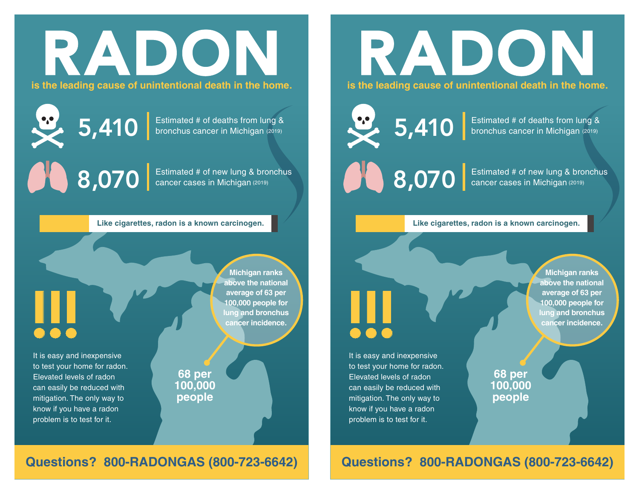# RADON

**is the leading cause of unintentional death in the home.**

 $5,410$  Estimated # of deaths from lung & bronchus cancer in Michigan (2019) bronchus cancer in Michigan (2019)

 $8,070$  Estimated # of new lung & bronchus<br>cancer cases in Michigan (2019) cancer cases in Michigan (2019)

#### **Like cigarettes, radon is a known carcinogen.**

!!!

It is easy and inexpensive to test your home for radon. Elevated levels of radon can easily be reduced with mitigation. The only way to know if you have a radon problem is to test for it.

**Michigan ranks above the national average of 63 per 100,000 people for lung and bronchus cancer incidence.**

**68 per 100,000 people**

**Questions? 800-RADONGAS (800-723-6642)**

## $5,410$  Estimated # of deaths from lung & bronchus cancer in Michigan (2019) bronchus cancer in Michigan (2019)

 $8,070$  Estimated # of new lung & bronchus<br>cancer cases in Michigan (2019) cancer cases in Michigan (2019)

#### **Like cigarettes, radon is a known carcinogen.**

RADON

**is the leading cause of unintentional death in the home.**

It is easy and inexpensive to test your home for radon. Elevated levels of radon can easily be reduced with mitigation. The only way to know if you have a radon problem is to test for it. !!!

**Michigan ranks above the national average of 63 per 100,000 people for lung and bronchus cancer incidence.**

**68 per 100,000 people**

#### **Questions? 800-RADONGAS (800-723-6642)**